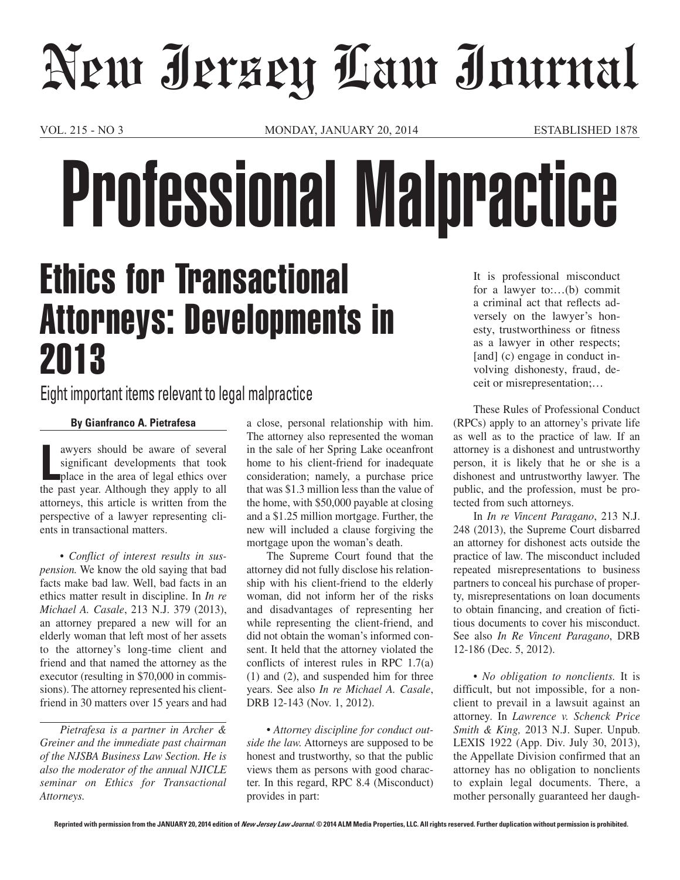## New Jersey Law Journal

VOL. 215 - NO 3 MONDAY, JANUARY 20, 2014 ESTABLISHED 1878

# Professional Malpractice

## Ethics for Transactional Attorneys: Developments in 2013

### Eight important items relevant to legal malpractice

#### **By Gianfranco A. Pietrafesa**

**Let us aware should be aware of several significant developments that took place in the area of legal ethics over the past year. Although they apply to all** awyers should be aware of several significant developments that took place in the area of legal ethics over attorneys, this article is written from the perspective of a lawyer representing clients in transactional matters.

*• Conflict of interest results in suspension.* We know the old saying that bad facts make bad law. Well, bad facts in an ethics matter result in discipline. In *In re Michael A. Casale*, 213 N.J. 379 (2013), an attorney prepared a new will for an elderly woman that left most of her assets to the attorney's long-time client and friend and that named the attorney as the executor (resulting in \$70,000 in commissions). The attorney represented his clientfriend in 30 matters over 15 years and had

*Pietrafesa is a partner in Archer & Greiner and the immediate past chairman of the NJSBA Business Law Section. He is also the moderator of the annual NJICLE seminar on Ethics for Transactional Attorneys.*

a close, personal relationship with him. The attorney also represented the woman in the sale of her Spring Lake oceanfront home to his client-friend for inadequate consideration; namely, a purchase price that was \$1.3 million less than the value of the home, with \$50,000 payable at closing and a \$1.25 million mortgage. Further, the new will included a clause forgiving the mortgage upon the woman's death.

The Supreme Court found that the attorney did not fully disclose his relationship with his client-friend to the elderly woman, did not inform her of the risks and disadvantages of representing her while representing the client-friend, and did not obtain the woman's informed consent. It held that the attorney violated the conflicts of interest rules in RPC 1.7(a) (1) and (2), and suspended him for three years. See also *In re Michael A. Casale*, DRB 12-143 (Nov. 1, 2012).

*• Attorney discipline for conduct outside the law.* Attorneys are supposed to be honest and trustworthy, so that the public views them as persons with good character. In this regard, RPC 8.4 (Misconduct) provides in part:

It is professional misconduct for a lawyer to:…(b) commit a criminal act that reflects adversely on the lawyer's honesty, trustworthiness or fitness as a lawyer in other respects; [and] (c) engage in conduct involving dishonesty, fraud, deceit or misrepresentation;…

These Rules of Professional Conduct (RPCs) apply to an attorney's private life as well as to the practice of law. If an attorney is a dishonest and untrustworthy person, it is likely that he or she is a dishonest and untrustworthy lawyer. The public, and the profession, must be protected from such attorneys.

In *In re Vincent Paragano*, 213 N.J. 248 (2013), the Supreme Court disbarred an attorney for dishonest acts outside the practice of law. The misconduct included repeated misrepresentations to business partners to conceal his purchase of property, misrepresentations on loan documents to obtain financing, and creation of fictitious documents to cover his misconduct. See also *In Re Vincent Paragano*, DRB 12-186 (Dec. 5, 2012).

*• No obligation to nonclients.* It is difficult, but not impossible, for a nonclient to prevail in a lawsuit against an attorney. In *Lawrence v. Schenck Price Smith & King,* 2013 N.J. Super. Unpub. LEXIS 1922 (App. Div. July 30, 2013), the Appellate Division confirmed that an attorney has no obligation to nonclients to explain legal documents. There, a mother personally guaranteed her daugh